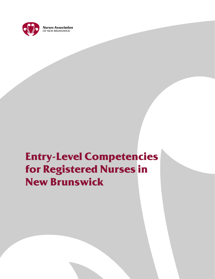

# **Entry-Level Competencies for Registered Nurses in New Brunswick**

Entry–Level Competencies for Registered Nurse in New Brunswick

Revised May 2013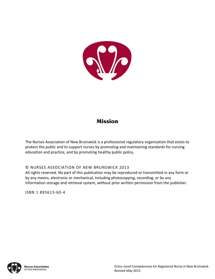

## **Mission**

The Nurses Association of New Brunswick is a professional regulatory organization that exists to protect the public and to support nurses by promoting and maintaining standards for nursing education and practice, and by promoting healthy public policy.

© NURSES ASSOCIATION OF NEW BRUNSWICK 2013

All rights reserved. No part of this publication may be reproduced or transmitted in any form or by any means, electronic or mechanical, including photocopying, recording, or by any information storage and retrieval system, without prior written permission from the publisher.

ISBN 1 895613‐60‐4

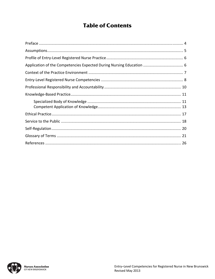# **Table of Contents**

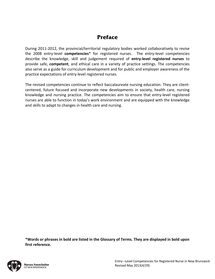# **Preface**

During 2011-2012, the provincial/territorial regulatory bodies worked collaboratively to revise the 2008 entry‐level **competencies**\* for registered nurses. The entry‐level competencies describe the knowledge, skill and judgement required of **entry‐level registered nurses** to provide safe, **competent**, and ethical care in a variety of practice settings. The competencies also serve as a guide for curriculum development and for public and employer awareness of the practice expectations of entry‐level registered nurses.

The revised competencies continue to reflect baccalaureate nursing education. They are client‐ centered, future focused and incorporate new developments in society, health care, nursing knowledge and nursing practice. The competencies aim to ensure that entry-level registered nurses are able to function in today's work environment and are equipped with the knowledge and skills to adapt to changes in health care and nursing.

**\*Words or phrases in bold are listed in the Glossary of Terms. They are displayed in bold upon first reference.**

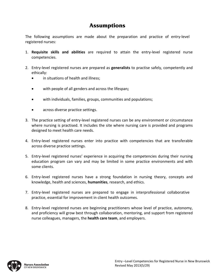### **Assumptions**

The following assumptions are made about the preparation and practice of entry‐level registered nurses:

- 1. **Requisite skills and abilities** are required to attain the entry‐level registered nurse competencies.
- 2. Entry‐level registered nurses are prepared as **generalists** to practise safely, competently and ethically:
	- in situations of health and illness:
	- with people of all genders and across the lifespan**;**
	- with individuals, families, groups, communities and populations;
	- across diverse practice settings.
- 3. The practice setting of entry-level registered nurses can be any environment or circumstance where nursing is practised. It includes the site where nursing care is provided and programs designed to meet health care needs.
- 4. Entry-level registered nurses enter into practice with competencies that are transferable across diverse practice settings.
- 5. Entry-level registered nurses' experience in acquiring the competencies during their nursing education program can vary and may be limited in some practice environments and with some clients.
- 6. Entry‐level registered nurses have a strong foundation in nursing theory, concepts and knowledge, health and sciences, **humanities**, research, and ethics.
- 7. Entry‐level registered nurses are prepared to engage in interprofessional collaborative practice, essential for improvement in client health outcomes.
- 8. Entry-level registered nurses are beginning practitioners whose level of practice, autonomy, and proficiency will grow best through collaboration, mentoring, and support from registered nurse colleagues, managers, the **health care team**, and employers.

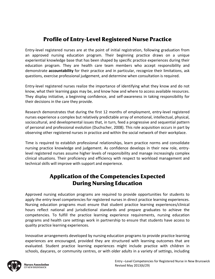# **Profile of Entry-Level Registered Nurse Practice**

Entry‐level registered nurses are at the point of initial registration, following graduation from an approved nursing education program. Their beginning practice draws on a unique experiential knowledge base that has been shaped by specific practice experiences during their education program. They are health care team members who accept responsibility and demonstrate **accountability** for their practice and in particular, recognize their limitations, ask questions, exercise professional judgement, and determine when consultation is required.

Entry‐level registered nurses realize the importance of identifying what they know and do not know, what their learning gaps may be, and know how and where to access available resources. They display initiative, a beginning confidence, and self‐awareness in taking responsibility for their decisions in the care they provide.

Research demonstrates that during the first 12 months of employment, entry-level registered nurses experience a complex but relatively predictable array of emotional, intellectual, physical, sociocultural, and developmental issues that, in turn, feed a progressive and sequential pattern of personal and professional evolution (Duchscher, 2008). This role acquisition occurs in part by observing other registered nurses in practice and within the social network of their workplace.

Time is required to establish professional relationships, learn practice norms and consolidate nursing practice knowledge and judgement. As confidence develops in their new role, entry‐ level registered nurses assume higher levels of responsibility and manage increasingly complex clinical situations. Their proficiency and efficiency with respect to workload management and technical skills will improve with support and experience.

### **Application of the Competencies Expected During Nursing Education**

Approved nursing education programs are required to provide opportunities for students to apply the entry-level competencies for registered nurses in direct practice learning experiences. Nursing education programs must ensure that student practice learning experiences/clinical hours reflect national and jurisdictional standards and prepare graduates to achieve the competencies. To fulfill the practice learning experience requirements, nursing education programs and health care settings work in partnership to ensure that students have access to quality practice learning experiences.

Innovative arrangements developed by nursing education programs to provide practice learning experiences are encouraged, provided they are structured with learning outcomes that are evaluated. Student practice learning experiences might include practice with children in schools, daycares, or community centres, or with older adults in a variety of settings, including

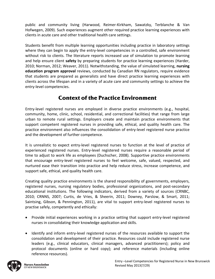public and community living (Harwood, Reimer‐Kirkham, Sawatzky, Terblanche & Van Hofwegen, 2009). Such experiences augment other required practice learning experiences with clients in acute care and other traditional health care settings.

Students benefit from multiple learning opportunities including practice in laboratory settings where they can begin to apply the entry-level competencies in a controlled, safe environment without risk to clients. The literature reports increased use of simulation to promote learning and help ensure client **safety** by preparing students for practice learning experiences (Harder, 2010; Norman, 2012; Weaver, 2011). Notwithstanding, the value of simulated learning, **nursing education program approval** reviews, conducted by Canadian RN regulators, require evidence that students are prepared as generalists and have direct practice learning experiences with clients across the lifespan and in a variety of acute care and community settings to achieve the entry‐level competencies.

## **Context of the Practice Environment**

Entry‐level registered nurses are employed in diverse practice environments (e.g., hospital, community, home, clinic, school, residential, and correctional facilities) that range from large urban to remote rural settings. Employers create and maintain practice environments that support competent registered nurses in providing safe, ethical, and quality health care. The practice environment also influences the consolidation of entry-level registered nurse practice and the development of further competence.

It is unrealistic to expect entry-level registered nurses to function at the level of practice of experienced registered nurses. Entry‐level registered nurses require a reasonable period of time to adjust to work life as employees (Duchscher, 2008). Supportive practice environments that encourage entry‐level registered nurses to feel welcome, safe, valued, respected, and nurtured ease their transition into practice and help reduce stress, increase competence, and support safe, ethical, and quality health care.

Creating quality practice environments is the shared responsibility of governments, employers, registered nurses, nursing regulatory bodies, professional organizations, and post‐secondary educational institutions. The following indicators, derived from a variety of sources (CRNBC, 2010; CRNNS, 2007; Curtis, de Vries, & Sheerin, 2011; Downey, Parslow, & Smart, 2011; Saintsing, Gibson, & Pennington, 2011), are vital to support entry-level registered nurses to practise safely, competently and ethically:

- Provide initial experiences working in a practice setting that support entry-level registered nurses in consolidating their knowledge application and skills.
- Identify and inform entry-level registered nurses of the resources available to support the consolidation and development of their practice. Resources could include registered nurse leaders (e.g., clinical educators, clinical managers, advanced practitioners); policy and protocol documents (online or hard copy); and reference materials (including online reference resources).

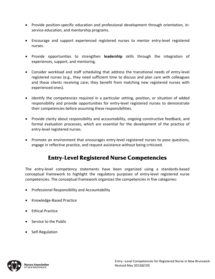- Provide position-specific education and professional development through orientation, inservice education, and mentorship programs.
- Encourage and support experienced registered nurses to mentor entry‐level registered nurses.
- Provide opportunities to strengthen **leadership** skills through the integration of experiences, support, and mentoring.
- Consider workload and staff scheduling that address the transitional needs of entry-level registered nurses (e.g., they need sufficient time to discuss and plan care with colleagues and those clients receiving care; they benefit from matching new registered nurses with experienced ones).
- Identify the competencies required in a particular setting, position, or situation of added responsibility and provide opportunities for entry‐level registered nurses to demonstrate their competencies before assuming these responsibilities.
- Provide clarity about responsibility and accountability, ongoing constructive feedback, and formal evaluation processes, which are essential for the development of the practice of entry‐level registered nurses.
- Promote an environment that encourages entry-level registered nurses to pose questions, engage in reflective practice, and request assistance without being criticized.

# **Entry-Level Registered Nurse Competencies**

The entry-level competency statements have been organized using a standards-based conceptual framework to highlight the regulatory purposes of entry‐level registered nurse competencies. The conceptual framework organizes the competencies in five categories:

- Professional Responsibility and Accountability
- Knowledge-Based Practice
- Ethical Practice
- Service to the Public
- Self-Regulation

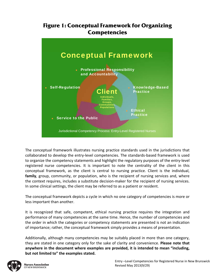### **Figure 1: Conceptual Framework for Organizing Competencies**



The conceptual framework illustrates nursing practice standards used in the jurisdictions that collaborated to develop the entry‐level competencies. The standards‐based framework is used to organize the competency statements and highlight the regulatory purposes of the entry‐level registered nurse competencies. It is important to note the centrality of the client in this conceptual framework, as the client is central to nursing practice. Client is the individual, **family**, group, community, or population, who is the recipient of nursing services and, where the context requires, includes a substitute decision‐maker for the recipient of nursing services. In some clinical settings, the client may be referred to as a patient or resident.

The conceptual framework depicts a cycle in which no one category of competencies is more or less important than another.

It is recognized that safe, competent, ethical nursing practice requires the integration and performance of many competencies at the same time. Hence, the number of competencies and the order in which the categories or competency statements are presented is not an indication of importance; rather, the conceptual framework simply provides a means of presentation.

Additionally, although many competencies may be suitably placed in more than one category, they are stated in one category only for the sake of clarity and convenience. **Please note that anywhere in the document where examples are provided, it is intended to mean "including, but not limited to" the examples stated.** 

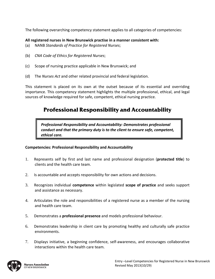The following overarching competency statement applies to all categories of competencies:

#### **All registered nurses in New Brunswick practise in a manner consistent with:**

- (a) NANB *Standards of Practice for Registered Nurses*;
- (b) *CNA Code of Ethics for Registered Nurses*;
- (c) Scope of nursing practice applicable in New Brunswick; and
- (d) The *Nurses Act* and other related provincial and federal legislation.

This statement is placed on its own at the outset because of its essential and overriding importance. This competency statement highlights the multiple professional, ethical, and legal sources of knowledge required for safe, competent, ethical nursing practice.

### **Professional Responsibility and Accountability**

*Professional Responsibility and Accountability: Demonstrates professional conduct and that the primary duty is to the client to ensure safe, competent, ethical care.*

#### **Competencies: Professional Responsibility and Accountability**

- 1. Represents self by first and last name and professional designation (**protected title**) to clients and the health care team.
- 2. Is accountable and accepts responsibility for own actions and decisions.
- 3. Recognizes individual **competence** within legislated **scope of practice** and seeks support and assistance as necessary.
- 4. Articulates the role and responsibilities of a registered nurse as a member of the nursing and health care team.
- 5. Demonstrates a **professional presence** and models professional behaviour.
- 6. Demonstrates leadership in client care by promoting healthy and culturally safe practice environments.
- 7. Displays initiative, a beginning confidence, self‐awareness, and encourages collaborative interactions within the health care team.

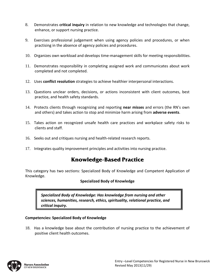- 8. Demonstrates **critical inquiry** in relation to new knowledge and technologies that change, enhance, or support nursing practice.
- 9. Exercises professional judgement when using agency policies and procedures, or when practising in the absence of agency policies and procedures.
- 10. Organizes own workload and develops time-management skills for meeting responsibilities.
- 11. Demonstrates responsibility in completing assigned work and communicates about work completed and not completed.
- 12. Uses **conflict resolution** strategies to achieve healthier interpersonal interactions.
- 13. Questions unclear orders, decisions, or actions inconsistent with client outcomes, best practice, and health safety standards.
- 14. Protects clients through recognizing and reporting **near misses** and errors (the RN's own and others) and takes action to stop and minimize harm arising from **adverse events**.
- 15. Takes action on recognized unsafe health care practices and workplace safety risks to clients and staff.
- 16. Seeks out and critiques nursing and health-related research reports.
- 17. Integrates quality improvement principles and activities into nursing practice.

# **Knowledge-Based Practice**

This category has two sections: Specialized Body of Knowledge and Competent Application of Knowledge.

#### **Specialized Body of Knowledge**

*Specialized Body of Knowledge: Has knowledge from nursing and other sciences, humanities, research, ethics, spirituality, relational practice, and critical inquiry.*

#### **Competencies: Specialized Body of Knowledge**

18. Has a knowledge base about the contribution of nursing practice to the achievement of positive client health outcomes.

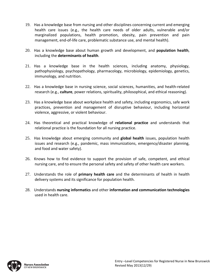- 19. Has a knowledge base from nursing and other disciplines concerning current and emerging health care issues (e.g., the health care needs of older adults, vulnerable and/or marginalized populations, health promotion, obesity, pain prevention and pain management, end‐of‐life care, problematic substance use, and mental health).
- 20. Has a knowledge base about human growth and development, and **population health**, including the **determinants of health**.
- 21. Has a knowledge base in the health sciences, including anatomy, physiology, pathophysiology, psychopathology, pharmacology, microbiology, epidemiology, genetics, immunology, and nutrition.
- 22. Has a knowledge base in nursing science, social sciences, humanities, and health-related research (e.g., **culture**, power relations, spirituality, philosophical, and ethical reasoning).
- 23. Has a knowledge base about workplace health and safety, including ergonomics, safe work practices, prevention and management of disruptive behaviour, including horizontal violence, aggressive, or violent behaviour.
- 24. Has theoretical and practical knowledge of **relational practice** and understands that relational practice is the foundation for all nursing practice.
- 25. Has knowledge about emerging community and **global health** issues, population health issues and research (e.g., pandemic, mass immunizations, emergency/disaster planning, and food and water safety).
- 26. Knows how to find evidence to support the provision of safe, competent, and ethical nursing care, and to ensure the personal safety and safety of other health care workers.
- 27. Understands the role of **primary health care** and the determinants of health in health delivery systems and its significance for population health.
- 28. Understands **nursing informatics** and other **information and communication technologies** used in health care.

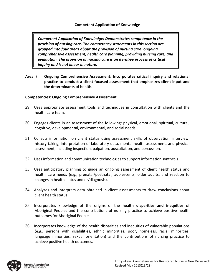*Competent Application of Knowledge: Demonstrates competence in the provision of nursing care. The competency statements in this section are grouped into four areas about the provision of nursing care: ongoing comprehensive assessment, health care planning, providing nursing care, and evaluation. The provision of nursing care is an iterative process of critical inquiry and is not linear in nature.* 

**Area i) Ongoing Comprehensive Assessment: Incorporates critical inquiry and relational practice to conduct a client‐focused assessment that emphasizes client input and the determinants of health.**

#### **Competencies: Ongoing Comprehensive Assessment**

- 29. Uses appropriate assessment tools and techniques in consultation with clients and the health care team.
- 30. Engages clients in an assessment of the following: physical, emotional, spiritual, cultural, cognitive, developmental, environmental, and social needs.
- 31. Collects information on client status using assessment skills of observation, interview, history taking, interpretation of laboratory data, mental health assessment, and physical assessment, including inspection, palpation, auscultation, and percussion.
- 32. Uses information and communication technologies to support information synthesis.
- 33. Uses anticipatory planning to guide an ongoing assessment of client health status and health care needs (e.g., prenatal/postnatal, adolescents, older adults, and reaction to changes in health status and or/diagnosis).
- 34. Analyzes and interprets data obtained in client assessments to draw conclusions about client health status.
- 35. Incorporates knowledge of the origins of the **health disparities and inequities** of Aboriginal Peoples and the contributions of nursing practice to achieve positive health outcomes for Aboriginal Peoples.
- 36. Incorporates knowledge of the health disparities and inequities of vulnerable populations (e.g., persons with disabilities, ethnic minorities, poor, homeless, racial minorities, language minorities, sexual orientation) and the contributions of nursing practice to achieve positive health outcomes.

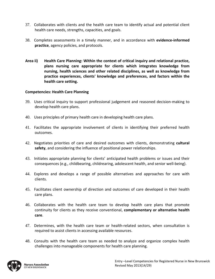- 37. Collaborates with clients and the health care team to identify actual and potential client health care needs, strengths, capacities, and goals.
- 38. Completes assessments in a timely manner, and in accordance with **evidence‐informed practice**, agency policies, and protocols.
- **Area ii) Health Care Planning: Within the context of critical inquiry and relational practice, plans nursing care appropriate for clients which integrates knowledge from nursing, health sciences and other related disciplines, as well as knowledge from practice experiences, clients' knowledge and preferences, and factors within the health care setting.**

#### **Competencies: Health Care Planning**

- 39. Uses critical inquiry to support professional judgement and reasoned decision‐making to develop health care plans.
- 40. Uses principles of primary health care in developing health care plans.
- 41. Facilitates the appropriate involvement of clients in identifying their preferred health outcomes.
- 42. Negotiates priorities of care and desired outcomes with clients, demonstrating **cultural safety**, and considering the influence of positional power relationships.
- 43. Initiates appropriate planning for clients' anticipated health problems or issues and their consequences (e.g., childbearing, childrearing, adolescent health, and senior well‐being).
- 44. Explores and develops a range of possible alternatives and approaches for care with clients.
- 45. Facilitates client ownership of direction and outcomes of care developed in their health care plans.
- 46. Collaborates with the health care team to develop health care plans that promote continuity for clients as they receive conventional, **complementary or alternative health care**.
- 47. Determines, with the health care team or health‐related sectors, when consultation is required to assist clients in accessing available resources.
- 48. Consults with the health care team as needed to analyze and organize complex health challenges into manageable components for health care planning.

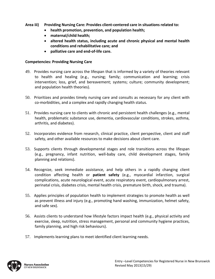- **Area iii) Providing Nursing Care: Provides client‐centered care in situations related to:**
	- **health promotion, prevention, and population health;**
	- **maternal/child health;**
	- **altered health status, including acute and chronic physical and mental health conditions and rehabilitative care; and**
	- **palliative care and end‐of‐life care.**

#### **Competencies: Providing Nursing Care**

- 49. Provides nursing care across the lifespan that is informed by a variety of theories relevant to health and healing (e.g., nursing; family; communication and learning; crisis intervention; loss, grief, and bereavement; systems; culture; community development; and population health theories).
- 50. Prioritizes and provides timely nursing care and consults as necessary for any client with co‐morbidities, and a complex and rapidly changing health status.
- 51. Provides nursing care to clients with chronic and persistent health challenges (e.g., mental health, problematic substance use, dementia, cardiovascular conditions, strokes, asthma, arthritis, and diabetes).
- 52. Incorporates evidence from research, clinical practice, client perspective, client and staff safety, and other available resources to make decisions about client care.
- 53. Supports clients through developmental stages and role transitions across the lifespan (e.g., pregnancy, infant nutrition, well‐baby care, child development stages, family planning and relations).
- 54. Recognize, seek immediate assistance, and help others in a rapidly changing client condition affecting health or **patient safety** (e.g., myocardial infarction, surgical complications, acute neurological event, acute respiratory event, cardiopulmonary arrest, perinatal crisis, diabetes crisis, mental health crisis, premature birth, shock, and trauma).
- 55. Applies principles of population health to implement strategies to promote health as well as prevent illness and injury (e.g., promoting hand washing, immunization, helmet safety, and safe sex).
- 56. Assists clients to understand how lifestyle factors impact health (e.g., physical activity and exercise, sleep, nutrition, stress management, personal and community hygiene practices, family planning, and high risk behaviours).
- 57. Implements learning plans to meet identified client learning needs.

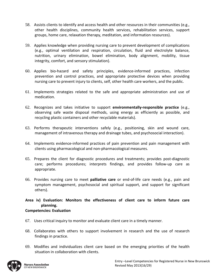- 58. Assists clients to identify and access health and other resources in their communities (e.g., other health disciplines, community health services, rehabilitation services, support groups, home care, relaxation therapy, meditation, and information resources).
- 59. Applies knowledge when providing nursing care to prevent development of complications (e.g., optimal ventilation and respiration, circulation, fluid and electrolyte balance, nutrition, urinary elimination, bowel elimination, body alignment, mobility, tissue integrity, comfort, and sensory stimulation).
- 60. Applies bio‐hazard and safety principles, evidence‐informed practices, infection prevention and control practices, and appropriate protective devices when providing nursing care to prevent injury to clients, self, other health care workers, and the public.
- 61. Implements strategies related to the safe and appropriate administration and use of medication.
- 62. Recognizes and takes initiative to support **environmentally‐responsible practice** (e.g., observing safe waste disposal methods, using energy as efficiently as possible, and recycling plastic containers and other recyclable materials).
- 63. Performs therapeutic interventions safely (e.g., positioning, skin and wound care, management of intravenous therapy and drainage tubes, and psychosocial interaction).
- 64. Implements evidence‐informed practices of pain prevention and pain management with clients using pharmacological and non‐pharmacological measures.
- 65. Prepares the client for diagnostic procedures and treatments; provides post‐diagnostic care; performs procedures; interprets findings, and provides follow‐up care as appropriate.
- 66. Provides nursing care to meet **palliative care** or end‐of‐life care needs (e.g., pain and symptom management, psychosocial and spiritual support, and support for significant others).

**Area iv) Evaluation: Monitors the effectiveness of client care to inform future care planning.** 

#### **Competencies: Evaluation**

- 67. Uses critical inquiry to monitor and evaluate client care in a timely manner.
- 68. Collaborates with others to support involvement in research and the use of research findings in practice.
- 69. Modifies and individualizes client care based on the emerging priorities of the health situation in collaboration with clients.

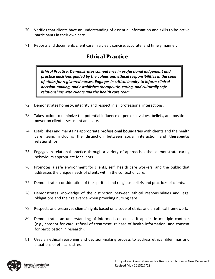- 70. Verifies that clients have an understanding of essential information and skills to be active participants in their own care.
- 71. Reports and documents client care in a clear, concise, accurate, and timely manner.

# **Ethical Practice**

*Ethical Practice: Demonstrates competence in professional judgement and practice decisions guided by the values and ethical responsibilities in the code of ethics for registered nurses. Engages in critical inquiry to inform clinical decision‐making, and establishes therapeutic, caring, and culturally safe relationships with clients and the health care team.*

- 72. Demonstrates honesty, integrity and respect in all professional interactions.
- 73. Takes action to minimize the potential influence of personal values, beliefs, and positional power on client assessment and care.
- 74. Establishes and maintains appropriate **professional boundaries** with clients and the health care team, including the distinction between social interaction and **therapeutic relationships**.
- 75. Engages in relational practice through a variety of approaches that demonstrate caring behaviours appropriate for clients.
- 76. Promotes a safe environment for clients, self, health care workers, and the public that addresses the unique needs of clients within the context of care.
- 77. Demonstrates consideration of the spiritual and religious beliefs and practices of clients.
- 78. Demonstrates knowledge of the distinction between ethical responsibilities and legal obligations and their relevance when providing nursing care.
- 79. Respects and preserves clients' rights based on a code of ethics and an ethical framework.
- 80. Demonstrates an understanding of informed consent as it applies in multiple contexts (e.g., consent for care, refusal of treatment, release of health information, and consent for participation in research).
- 81. Uses an ethical reasoning and decision‐making process to address ethical dilemmas and situations of ethical distress.

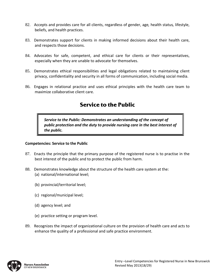- 82. Accepts and provides care for all clients, regardless of gender, age*,* health status*,* lifestyle, beliefs, and health practices.
- 83. Demonstrates support for clients in making informed decisions about their health care, and respects those decisions.
- 84. Advocates for safe, competent, and ethical care for clients or their representatives, especially when they are unable to advocate for themselves.
- 85. Demonstrates ethical responsibilities and legal obligations related to maintaining client privacy, confidentiality and security in all forms of communication, including social media.
- 86. Engages in relational practice and uses ethical principles with the health care team to maximize collaborative client care.

# **Service to the Public**

*Service to the Public: Demonstrates an understanding of the concept of public protection and the duty to provide nursing care in the best interest of the public.*

#### **Competencies: Service to the Public**

- 87. Enacts the principle that the primary purpose of the registered nurse is to practise in the best interest of the public and to protect the public from harm.
- 88. Demonstrates knowledge about the structure of the health care system at the: (a) national/international level;
	- (b) provincial/territorial level;
	- (c) regional/municipal level;
	- (d) agency level; and
	- (e) practice setting or program level.
- 89. Recognizes the impact of organizational culture on the provision of health care and acts to enhance the quality of a professional and safe practice environment.

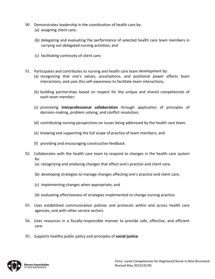- 90. Demonstrates leadership in the coordination of health care by:
	- (a) assigning client care;
	- (b) delegating and evaluating the performance of selected health care team members in carrying out delegated nursing activities; and
	- (c) facilitating continuity of client care.
- 91. Participates and contributes to nursing and health care team development by:
	- (a) recognizing that one's values, assumptions, and positional power affects team interactions, and uses this self-awareness to facilitate team interactions;
	- (b) building partnerships based on respect for the unique and shared competencies of each team member;
	- (c) promoting **interprofessional collaboration** through application of principles of decision‐making, problem solving, and conflict resolution;
	- (d) contributing nursing perspectives on issues being addressed by the health care team;
	- (e) knowing and supporting the full scope of practice of team members; and
	- (f) providing and encouraging constructive feedback.
- 92. Collaborates with the health care team to respond to changes in the health care system by:
	- (a) recognizing and analyzing changes that affect one's practice and client care;
	- (b) developing strategies to manage changes affecting one's practice and client care;
	- (c) implementing changes when appropriate; and
	- (d) evaluating effectiveness of strategies implemented to change nursing practice.
- 93. Uses established communication policies and protocols within and across health care agencies, and with other service sectors.
- 94. Uses resources in a fiscally-responsible manner to provide safe, effective, and efficient care.
- 95. Supports healthy public policy and principles of **social justice**.

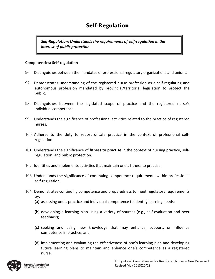# **Self-Regulation**

*Self‐Regulation: Understands the requirements of self‐regulation in the interest of public protection.*

#### **Competencies: Self‐regulation**

- 96. Distinguishes between the mandates of professional regulatory organizations and unions.
- 97. Demonstrates understanding of the registered nurse profession as a self‐regulating and autonomous profession mandated by provincial/territorial legislation to protect the public.
- 98. Distinguishes between the legislated scope of practice and the registered nurse's individual competence.
- 99. Understands the significance of professional activities related to the practice of registered nurses.
- 100. Adheres to the duty to report unsafe practice in the context of professional self‐ regulation.
- 101. Understands the significance of **fitness to practise** in the context of nursing practice, self‐ regulation, and public protection.
- 102. Identifies and implements activities that maintain one's fitness to practise.
- 103. Understands the significance of continuing competence requirements within professional self‐regulation.
- 104. Demonstrates continuing competence and preparedness to meet regulatory requirements by:
	- (a) assessing one's practice and individual competence to identify learning needs;
	- (b) developing a learning plan using a variety of sources (e.g., self‐evaluation and peer feedback);
	- (c) seeking and using new knowledge that may enhance, support, or influence competence in practice; and
	- (d) implementing and evaluating the effectiveness of one's learning plan and developing future learning plans to maintain and enhance one's competence as a registered nurse.

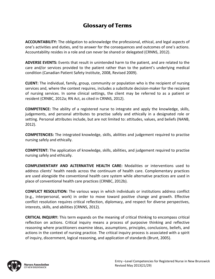### **Glossary of Terms**

**ACCOUNTABILITY:** The obligation to acknowledge the professional, ethical, and legal aspects of one's activities and duties, and to answer for the consequences and outcomes of one's actions. Accountability resides in a role and can never be shared or delegated (CRNNS, 2012).

**ADVERSE EVENTS:** Events that result in unintended harm to the patient, and are related to the care and/or services provided to the patient rather than to the patient's underlying medical condition (Canadian Patient Safety Institute, 2008, Revised 2009).

**CLIENT:** The individual, family, group, community or population who is the recipient of nursing services and, where the context requires, includes a substitute decision-maker for the recipient of nursing services. In some clinical settings, the client may be referred to as a patient or resident (CRNBC, 2012a; RN Act, as cited in CRNNS, 2012).

**COMPETENCE:** The ability of a registered nurse to integrate and apply the knowledge, skills, judgements, and personal attributes to practise safely and ethically in a designated role or setting. Personal attributes include, but are not limited to: attitudes, values, and beliefs (NANB, 2012).

**COMPETENCIES:** The integrated knowledge, skills, abilities and judgement required to practise nursing safely and ethically.

**COMPETENT:** The application of knowledge, skills, abilities, and judgement required to practise nursing safely and ethically.

**COMPLEMENTARY AND ALTERNATIVE HEALTH CARE:** Modalities or interventions used to address clients' health needs across the continuum of health care. Complementary practices are used alongside the conventional health care system while alternative practices are used in place of conventional health care practices (CRNBC, 2012b).

**CONFLICT RESOLUTION:** The various ways in which individuals or institutions address conflict (e.g., interpersonal, work) in order to move toward positive change and growth. Effective conflict resolution requires critical reflection, diplomacy, and respect for diverse perspectives, interests, skills, and abilities (CRNNS, 2012).

**CRITICAL INQUIRY:** This term expands on the meaning of critical thinking to encompass critical reflection on actions. Critical inquiry means a process of purposive thinking and reflective reasoning where practitioners examine ideas, assumptions, principles, conclusions, beliefs, and actions in the context of nursing practice. The critical inquiry process is associated with a spirit of inquiry, discernment, logical reasoning, and application of standards (Brunt, 2005).

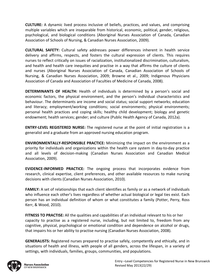**CULTURE:** A dynamic lived process inclusive of beliefs, practices, and values, and comprising multiple variables which are inseparable from historical, economic, political, gender, religious, psychological, and biological conditions (Aboriginal Nurses Association of Canada, Canadian Association of Schools of Nursing, & Canadian Nurses Association, 2009).

**CULTURAL SAFETY:** Cultural safety addresses power differences inherent in health service delivery and affirms, respects, and fosters the cultural expression of clients. This requires nurses to reflect critically on issues of racialization, institutionalized discrimination, culturalism, and health and health care inequities and practise in a way that affirms the culture of clients and nurses (Aboriginal Nurses Association of Canada, Canadian Association of Schools of Nursing, & Canadian Nurses Association, 2009; Browne et al., 2009; Indigenous Physicians Association of Canada and Association of Faculties of Medicine of Canada, 2008).

**DETERMINANTS OF HEALTH:** Health of individuals is determined by a person's social and economic factors, the physical environment, and the person's individual characteristics and behaviour. The determinants are income and social status; social support networks; education and literacy; employment/working conditions; social environments; physical environments; personal health practices and coping skills; healthy child development; biology and genetic endowment; health services; gender; and culture (Public Health Agency of Canada, 2012a).

**ENTRY‐LEVEL REGISTERED NURSE:** The registered nurse at the point of initial registration is a generalist and a graduate from an approved nursing education program.

**ENVIRONMENTALLY‐RESPONSIBLE PRACTICE:** Minimizing the impact on the environment as a priority for individuals and organizations within the health care system in day‐to‐day practice and all levels of decision‐making (Canadian Nurses Association and Canadian Medical Association, 2009).

**EVIDENCE‐INFORMED PRACTICE:** The ongoing process that incorporates evidence from research, clinical expertise, client preferences, and other available resources to make nursing decisions with clients (Canadian Nurses Association, 2010).

**FAMILY:** A set of relationships that each client identifies as family or as a network of individuals who influence each other's lives regardless of whether actual biological or legal ties exist. Each person has an individual definition of whom or what constitutes a family (Potter, Perry, Ross Kerr, & Wood, 2010).

**FITNESS TO PRACTISE:** All the qualities and capabilities of an individual relevant to his or her capacity to practise as a registered nurse, including, but not limited to, freedom from any cognitive, physical, psychological or emotional condition and dependence on alcohol or drugs, that impairs his or her ability to practise nursing (Canadian Nurses Association, 2008).

**GENERALISTS:** Registered nurses prepared to practise safely, competently and ethically, and in situations of health and illness, with people of all genders, across the lifespan, in a variety of settings, with individuals, families, groups, communities, and populations.

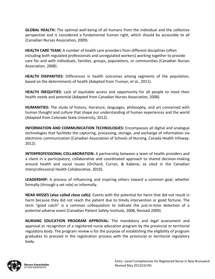**GLOBAL HEALTH:** The optimal well‐being of all humans from the individual and the collective perspective and is considered a fundamental human right, which should be accessible to all (Canadian Nurses Association, 2009).

**HEALTH CARE TEAM:** A number of health care providers from different disciplines (often including both regulated professionals and unregulated workers) working together to provide care for and with individuals, families, groups, populations, or communities (Canadian Nurses Association, 2008).

**HEALTH DISPARITIES:** Differences in health outcomes among segments of the population, based on the determinants of health (Adapted from Truman, et al., 2011).

**HEALTH INEQUITIES:** Lack of equitable access and opportunity for all people to meet their health needs and potential (Adapted from Canadian Nurses Association, 2008).

**HUMANITIES:** The study of history, literature, languages, philosophy, and art concerned with human thought and culture that shape our understanding of human experiences and the world (Adapted from Colorado State University, 2012).

**INFORMATION AND COMMUNICATION TECHNOLOGIES:** Encompasses all digital and analogue technologies that facilitate the capturing, processing, storage, and exchange of information via electronic communication (Canadian Association of Schools of Nursing, Canada Health Infoway, 2012).

**INTERPROFESSIONAL COLLABORATION:** A partnership between a team of health providers and a client in a participatory, collaborative and coordinated approach to shared decision‐making around health and social issues (Orchard, Curran, & Kabene, as cited in the Canadian Interprofessional Health Collaborative, 2010).

**LEADERSHIP:** A process of influencing and inspiring others toward a common goal, whether formally (through a set role) or informally.

**NEAR MISSES (also called close calls):** Events with the potential for harm that did not result in harm because they did not reach the patient due to timely intervention or good fortune. The term "good catch" is a common colloquialism to indicate the just-in-time detection of a potential adverse event (Canadian Patient Safety Institute, 2008, Revised 2009).

**NURSING EDUCATION PROGRAM APPROVAL:** The mandatory and legal assessment and approval or recognition of a registered nurse education program by the provincial or territorial regulatory body. The program review is for the purpose of establishing the eligibility of program graduates to proceed in the registration process with the provincial or territorial regulatory body.

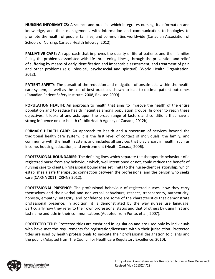**NURSING INFORMATICS:** A science and practice which integrates nursing, its information and knowledge, and their management, with information and communication technologies to promote the health of people, families, and communities worldwide (Canadian Association of Schools of Nursing, Canada Health Infoway, 2012).

**PALLIATIVE CARE:** An approach that improves the quality of life of patients and their families facing the problems associated with life-threatening illness, through the prevention and relief of suffering by means of early identification and impeccable assessment, and treatment of pain and other problems (e.g., physical, psychosocial and spiritual) (World Health Organization, 2012).

**PATIENT SAFETY:** The pursuit of the reduction and mitigation of unsafe acts within the health care system, as well as the use of best practices shown to lead to optimal patient outcomes (Canadian Patient Safety Institute, 2008, Revised 2009).

**POPULATION HEALTH:** An approach to health that aims to improve the health of the entire population and to reduce health inequities among population groups. In order to reach these objectives, it looks at and acts upon the broad range of factors and conditions that have a strong influence on our health (Public Health Agency of Canada, 2012b).

**PRIMARY HEALTH CARE:** An approach to health and a spectrum of services beyond the traditional health care system. It is the first level of contact of individuals, the family, and community with the health system, and includes all services that play a part in health, such as income, housing, education, and environment (Health Canada, 2006).

**PROFESSIONAL BOUNDARIES:** The defining lines which separate the therapeutic behaviour of a registered nurse from any behaviour which, well intentioned or not, could reduce the benefit of nursing care to clients. Professional boundaries set limits to the nurse‐client relationship, which establishes a safe therapeutic connection between the professional and the person who seeks care (CARNA 2011; CRNNS 2012).

**PROFESSIONAL PRESENCE:** The professional behaviour of registered nurses, how they carry themselves and their verbal and non‐verbal behaviours; respect, transparency, authenticity, honesty, empathy, integrity, and confidence are some of the characteristics that demonstrate professional presence. In addition, it is demonstrated by the way nurses use language, particularly how they refer to their own professional status and that of others by using first and last name and title in their communications (Adapted from Ponte, et al., 2007).

**PROTECTED TITLE:** Protected titles are enshrined in legislation and are used only by individuals who have met the requirements for registration/licensure within their jurisdiction. Protected titles are used by health professionals to indicate their professional designation to clients and the public (Adapted from The Council for Healthcare Regulatory Excellence, 2010).

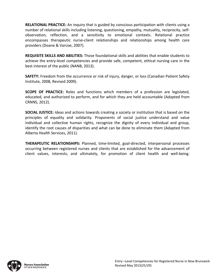**RELATIONAL PRACTICE:** An inquiry that is guided by conscious participation with clients using a number of relational skills including listening, questioning, empathy, mutuality, reciprocity, self‐ observation, reflection, and a sensitivity to emotional contexts. Relational practice encompasses therapeutic nurse‐client relationships and relationships among health care providers (Doane & Varcoe, 2007).

**REQUISITE SKILLS AND ABILITIES:** Those foundational skills and abilities that enable students to achieve the entry‐level competencies and provide safe, competent, ethical nursing care in the best interest of the public (NANB, 2013).

**SAFETY:** Freedom from the occurrence or risk of injury, danger, or loss (Canadian Patient Safety Institute, 2008, Revised 2009).

**SCOPE OF PRACTICE:** Roles and functions which members of a profession are legislated, educated, and authorized to perform, and for which they are held accountable (Adapted from CRNNS, 2012).

**SOCIAL JUSTICE:** Ideas and actions towards creating a society or institution that is based on the principles of equality and solidarity. Proponents of social justice understand and value individual and collective human rights, recognize the dignity of every individual and group, identify the root causes of disparities and what can be done to eliminate them (Adapted from Alberta Health Services, 2011).

**THERAPEUTIC RELATIONSHIPS:** Planned, time‐limited, goal‐directed, interpersonal processes occurring between registered nurses and clients that are established for the advancement of client values, interests, and ultimately, for promotion of client health and well‐being.

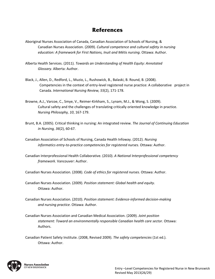### **References**

- Aboriginal Nurses Association of Canada, Canadian Association of Schools of Nursing, & Canadian Nurses Association. (2009). *Cultural competence and cultural safety in nursing education: A framework for First Nations, Inuit and Métis nursing*. Ottawa: Author.
- Alberta Health Services. (2011). *Towards an Understanding of Health Equity: Annotated Glossary*. Alberta: Author.
- Black, J., Allen, D., Redford, L., Muzio, L., Rushowick, B., Balaski, B. Round, B. (2008). Competencies in the context of entry-level registered nurse practice: A collaborative project in Canada. *International Nursing Review, 55*(2), 171‐178.
- Browne, A.J., Varcoe, C., Smye, V., Reimer‐Kirkham, S., Lynam, M.J., & Wong, S. (2009). Cultural safety and the challenges of translating critically oriented knowledge in practice. *Nursing Philosophy, 10*, 167‐179.
- Brunt, B.A. (2005). Critical thinking in nursing: An integrated review. *The Journal of Continuing Education in Nursing, 36*(2), 60‐67.
- Canadian Association of Schools of Nursing, Canada Health Infoway. (2012). *Nursing informatics entry‐to‐practice competencies for registered nurses*. Ottawa: Author.
- Canadian Interprofessional Health Collaborative. (2010). *A National Interprofessional competency framework*. Vancouver: Author.

Canadian Nurses Association. (2008). *Code of ethics for registered nurses*. Ottawa: Author.

Canadian Nurses Association. (2009). *Position statement: Global health and equity*. Ottawa: Author.

- Canadian Nurses Association. (2010). *Position statement: Evidence‐informed decision‐making and nursing practice*. Ottawa: Author.
- Canadian Nurses Association and Canadian Medical Association. (2009). *Joint position statement: Toward an environmentally responsible Canadian health care sector*. Ottawa: Authors.

Canadian Patient Safety Institute. (2008, Revised 2009). *The safety competencies* (1st ed.). Ottawa: Author.

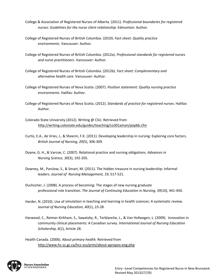- College & Association of Registered Nurses of Alberta. (2011)*. Professional boundaries for registered nurses: Guidelines for the nurse client relationship*. Edmonton: Author.
- College of Registered Nurses of British Columbia. (2010). *Fact sheet: Quality practice environments*. Vancouver: Author.
- College of Registered Nurses of British Columbia. (2012a). *Professional standards for registered nurses and nurse practitioners*. Vancouver: Author.
- College of Registered Nurses of British Columbia. (2012b). *Fact sheet: Complementary and alternative health care*. Vancouver: Author.
- College of Registered Nurses of Nova Scotia. (2007). *Position statement: Quality nursing practice environments*. Halifax: Author.
- College of Registered Nurses of Nova Scotia. (2012). *Standards of practice for registered nurses*. Halifax: Author.
- Colorado State University (2012). Writing @ CSU. Retrieved from http://writing.colostate.edu/guides/teaching/co301aman/pop6b.cfm
- Curtis, E.A., de Vries, J., & Sheerin, F.K. (2011). Developing leadership in nursing: Exploring core factors. *British Journal of Nursing, 20*(5), 306‐309.
- Doane, G. H., & Varcoe, C. (2007). Relational practice and nursing obligations. *Advances in Nursing Science, 30*(3), 192‐205.
- Downey, M., Parslow, S., & Smart, M. (2011). The hidden treasure in nursing leadership: Informal leaders. *Journal of Nursing Management, 19*, 517‐521.
- Duchscher, J. (2008). A process of becoming: The stages of new nursing graduate professional role transition. *The Journal of Continuing Education in Nursing, 39*(10), 441‐450.
- Harder, N. (2010). Use of simulation in teaching and learning in health sciences: A systematic review. *Journal of Nursing Education, 40*(1), 23‐28.
- Harwood, C., Reimer‐Kirkham, S., Sawatzky, R., Terblanche, L., & Van Hofwegen, L. (2009). Innovation in community clinical placements: A Canadian survey. *International Journal of Nursing Education Scholarship, 6*(1), Article 28.

Health Canada. (2006). *About primary health.* Retrieved from http://www.hc‐sc.gc.ca/hcs‐sss/prim/about‐apropos‐eng.php

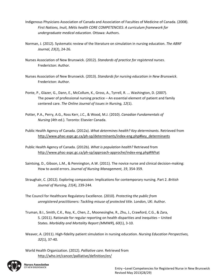- Indigenous Physicians Association of Canada and Association of Faculties of Medicine of Canada. (2008). *First Nations, Inuit, Métis health CORE COMPETENCIES: A curriculum framework for undergraduate medical education*. Ottawa: Authors.
- Norman, J. (2012). Systematic review of the literature on simulation in nursing education. *The ABNF Journal, 23*(2), 24‐26.
- Nurses Association of New Brunswick. (2012). *Standards of practice for registered nurses*. Fredericton: Author.
- Nurses Association of New Brunswick. (2013). *Standards for nursing education in New Brunswick*. Fredericton: Author.
- Ponte, P., Glazer, G., Dann, E., McCollum, K., Gross, A., Tyrrell, R. ... Washington, D. (2007). The power of professional nursing practice – An essential element of patient and family centered care. *The Online Journal of Issues in Nursing, 12*(1).
- Potter, P.A., Perry, A.G., Ross Kerr, J.C., & Wood, M.J. (2010). *Canadian Fundamentals of Nursing* (4th ed.). Toronto: Elsevier Canada.
- Public Health Agency of Canada. (2012a). *What determines health? Key determinants.* Retrieved from http://www.phac-aspc.gc.ca/ph-sp/determinants/index-eng.php#key\_determinants
- Public Health Agency of Canada. (2012b). *What is population health?* Retrieved from http://www.phac-aspc.gc.ca/ph-sp/approach-approche/index-eng.php#What
- Saintsing, D., Gibson, L.M., & Pennington, A.W. (2011). The novice nurse and clinical decision‐making: How to avoid errors. *Journal of Nursing Management, 19*, 354‐359.
- Straughair, C. (2012). Exploring compassion: Implications for contemporary nursing. Part 2. *British Journal of Nursing, 21*(4), 239‐244.
- The Council for Healthcare Regulatory Excellence. (2010). *Protecting the public from unregistered practitioners: Tackling misuse of protected title*. London, UK: Author.
- Truman, B.I., Smith, C.K., Roy, K., Chen, Z., Moonesinghe, R., Zhu, J., Crawford, C.G., & Zara, S. (2011). Rationale for regular reporting on health disparities and inequities – United States. *Morbidity and Mortality Report (MMWR*)*, 60*(1), 3‐10.
- Weaver, A. (2011). High‐fidelity patient simulation in nursing education. *Nursing Education Perspectives, 32*(1), 37‐40.
- World Health Organization. (2012). *Palliative care*. Retrieved from http://who.int/cancer/palliative/definition/en/